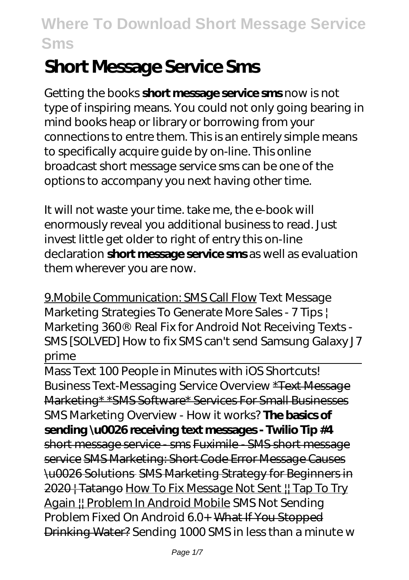# **Short Message Service Sms**

Getting the books **short message service sms** now is not type of inspiring means. You could not only going bearing in mind books heap or library or borrowing from your connections to entre them. This is an entirely simple means to specifically acquire guide by on-line. This online broadcast short message service sms can be one of the options to accompany you next having other time.

It will not waste your time. take me, the e-book will enormously reveal you additional business to read. Just invest little get older to right of entry this on-line declaration **short message service sms** as well as evaluation them wherever you are now.

9.Mobile Communication: SMS Call Flow Text Message Marketing Strategies To Generate More Sales - 7 Tips | Marketing 360® *Real Fix for Android Not Receiving Texts - SMS [SOLVED]* How to fix SMS can't send Samsung Galaxy J7 prime

Mass Text 100 People in Minutes with iOS Shortcuts! *Business Text-Messaging Service Overview* \*Text Message Marketing\* \*SMS Software\* Services For Small Businesses *SMS Marketing Overview - How it works?* **The basics of sending \u0026 receiving text messages - Twilio Tip #4** short message service - sms Fuximile - SMS short message service SMS Marketing: Short Code Error Message Causes \u0026 Solutions SMS Marketing Strategy for Beginners in 2020 | Tatango How To Fix Message Not Sent ! Tap To Try Again || Problem In Android Mobile *SMS Not Sending Problem Fixed On Android 6.0+* What If You Stopped Drinking Water? *Sending 1000 SMS in less than a minute w*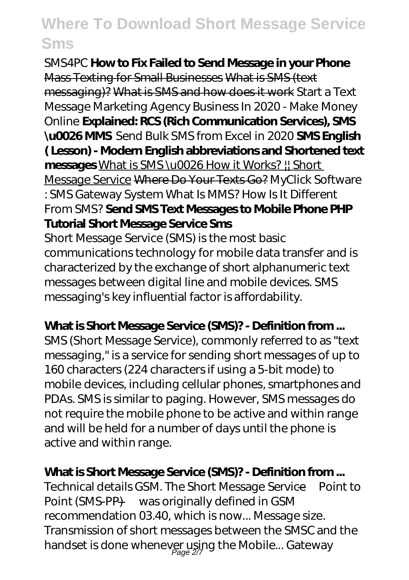*SMS4PC* **How to Fix Failed to Send Message in your Phone** Mass Texting for Small Businesses What is SMS (text messaging)? What is SMS and how does it work *Start a Text Message Marketing Agency Business In 2020 - Make Money Online* **Explained: RCS (Rich Communication Services), SMS \u0026 MMS** *Send Bulk SMS from Excel in 2020* **SMS English ( Lesson) - Modern English abbreviations and Shortened text messages** What is SMS \u0026 How it Works? || Short Message Service Where Do Your Texts Go? *MyClick Software : SMS Gateway System What Is MMS? How Is It Different From SMS?* **Send SMS Text Messages to Mobile Phone PHP Tutorial Short Message Service Sms**

Short Message Service (SMS) is the most basic communications technology for mobile data transfer and is characterized by the exchange of short alphanumeric text messages between digital line and mobile devices. SMS messaging's key influential factor is affordability.

#### **What is Short Message Service (SMS)? - Definition from ...**

SMS (Short Message Service), commonly referred to as "text messaging," is a service for sending short messages of up to 160 characters (224 characters if using a 5-bit mode) to mobile devices, including cellular phones, smartphones and PDAs. SMS is similar to paging. However, SMS messages do not require the mobile phone to be active and within range and will be held for a number of days until the phone is active and within range.

#### **What is Short Message Service (SMS)? - Definition from ...**

Technical details GSM. The Short Message Service—Point to Point (SMS-PP) —was originally defined in GSM recommendation 03.40, which is now... Message size. Transmission of short messages between the SMSC and the handset is done whenever using the Mobile... Gateway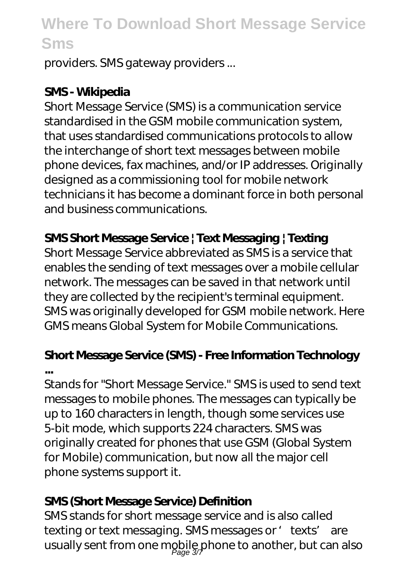providers. SMS gateway providers ...

### **SMS - Wikipedia**

Short Message Service (SMS) is a communication service standardised in the GSM mobile communication system, that uses standardised communications protocols to allow the interchange of short text messages between mobile phone devices, fax machines, and/or IP addresses. Originally designed as a commissioning tool for mobile network technicians it has become a dominant force in both personal and business communications.

## **SMS Short Message Service | Text Messaging | Texting**

Short Message Service abbreviated as SMS is a service that enables the sending of text messages over a mobile cellular network. The messages can be saved in that network until they are collected by the recipient's terminal equipment. SMS was originally developed for GSM mobile network. Here GMS means Global System for Mobile Communications.

### **Short Message Service (SMS) - Free Information Technology ...**

Stands for "Short Message Service." SMS is used to send text messages to mobile phones. The messages can typically be up to 160 characters in length, though some services use 5-bit mode, which supports 224 characters. SMS was originally created for phones that use GSM (Global System for Mobile) communication, but now all the major cell phone systems support it.

### **SMS (Short Message Service) Definition**

SMS stands for short message service and is also called texting or text messaging. SMS messages or 'texts' are usually sent from one mobile phone to another, but can also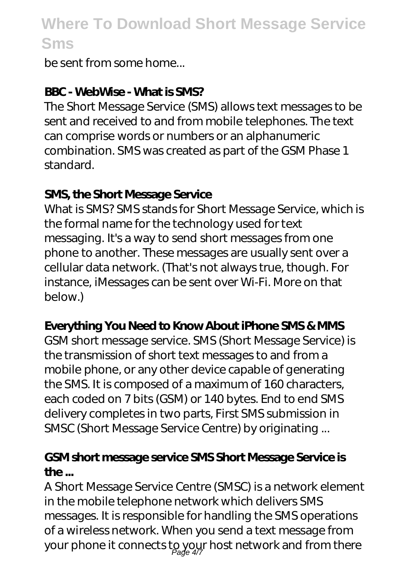be sent from some home...

### **BBC - WebWise - What is SMS?**

The Short Message Service (SMS) allows text messages to be sent and received to and from mobile telephones. The text can comprise words or numbers or an alphanumeric combination. SMS was created as part of the GSM Phase 1 standard.

#### **SMS, the Short Message Service**

What is SMS? SMS stands for Short Message Service, which is the formal name for the technology used for text messaging. It's a way to send short messages from one phone to another. These messages are usually sent over a cellular data network. (That's not always true, though. For instance, iMessages can be sent over Wi-Fi. More on that below.)

### **Everything You Need to Know About iPhone SMS & MMS**

GSM short message service. SMS (Short Message Service) is the transmission of short text messages to and from a mobile phone, or any other device capable of generating the SMS. It is composed of a maximum of 160 characters, each coded on 7 bits (GSM) or 140 bytes. End to end SMS delivery completes in two parts, First SMS submission in SMSC (Short Message Service Centre) by originating ...

### **GSM short message service SMS Short Message Service is the ...**

A Short Message Service Centre (SMSC) is a network element in the mobile telephone network which delivers SMS messages. It is responsible for handling the SMS operations of a wireless network. When you send a text message from your phone it connects to your host network and from there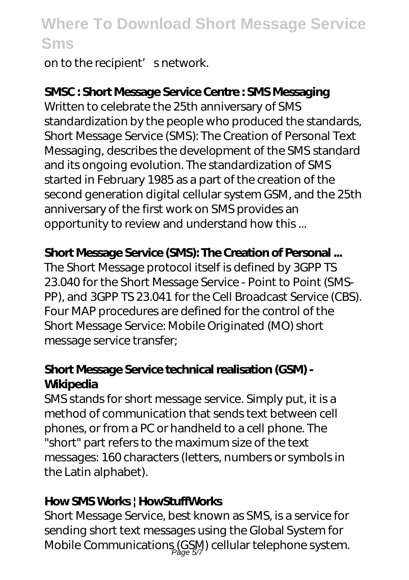on to the recipient' snetwork.

### **SMSC : Short Message Service Centre : SMS Messaging**

Written to celebrate the 25th anniversary of SMS standardization by the people who produced the standards, Short Message Service (SMS): The Creation of Personal Text Messaging, describes the development of the SMS standard and its ongoing evolution. The standardization of SMS started in February 1985 as a part of the creation of the second generation digital cellular system GSM, and the 25th anniversary of the first work on SMS provides an opportunity to review and understand how this ...

#### **Short Message Service (SMS): The Creation of Personal ...**

The Short Message protocol itself is defined by 3GPP TS 23.040 for the Short Message Service - Point to Point (SMS-PP), and 3GPP TS 23.041 for the Cell Broadcast Service (CBS). Four MAP procedures are defined for the control of the Short Message Service: Mobile Originated (MO) short message service transfer;

#### **Short Message Service technical realisation (GSM) - Wikipedia**

SMS stands for short message service. Simply put, it is a method of communication that sends text between cell phones, or from a PC or handheld to a cell phone. The "short" part refers to the maximum size of the text messages: 160 characters (letters, numbers or symbols in the Latin alphabet).

#### **How SMS Works | HowStuffWorks**

Short Message Service, best known as SMS, is a service for sending short text messages using the Global System for Mobile Communications (GSM) cellular telephone system.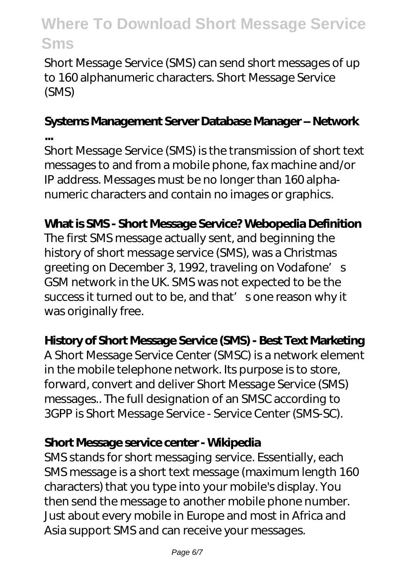Short Message Service (SMS) can send short messages of up to 160 alphanumeric characters. Short Message Service (SMS)

#### **Systems Management Server Database Manager – Network ...**

Short Message Service (SMS) is the transmission of short text messages to and from a mobile phone, fax machine and/or IP address. Messages must be no longer than 160 alphanumeric characters and contain no images or graphics.

### **What is SMS - Short Message Service? Webopedia Definition**

The first SMS message actually sent, and beginning the history of short message service (SMS), was a Christmas greeting on December 3, 1992, traveling on Vodafone's GSM network in the UK. SMS was not expected to be the success it turned out to be, and that' sone reason why it was originally free.

### **History of Short Message Service (SMS) - Best Text Marketing**

A Short Message Service Center (SMSC) is a network element in the mobile telephone network. Its purpose is to store, forward, convert and deliver Short Message Service (SMS) messages.. The full designation of an SMSC according to 3GPP is Short Message Service - Service Center (SMS-SC).

#### **Short Message service center - Wikipedia**

SMS stands for short messaging service. Essentially, each SMS message is a short text message (maximum length 160 characters) that you type into your mobile's display. You then send the message to another mobile phone number. Just about every mobile in Europe and most in Africa and Asia support SMS and can receive your messages.